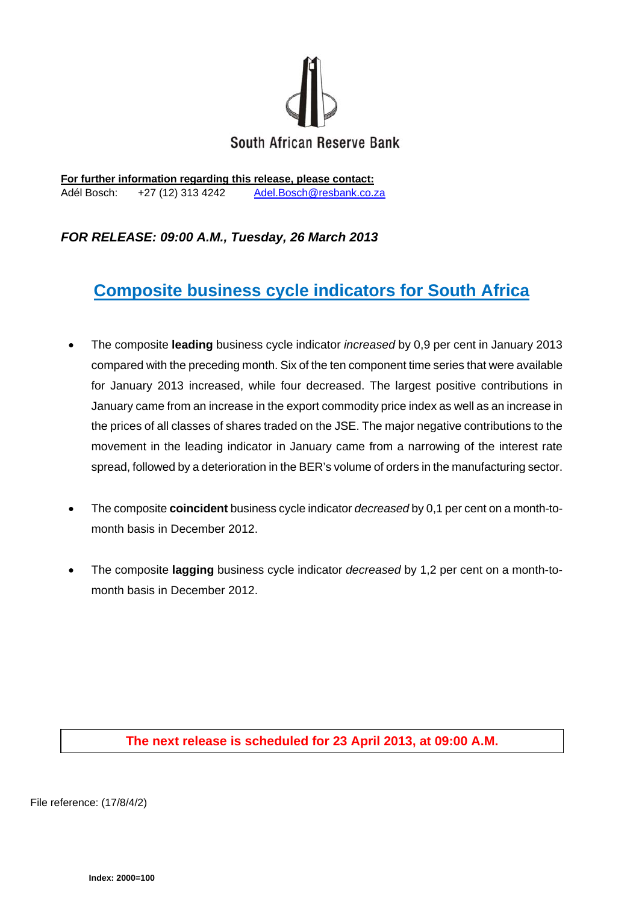

**For further information regarding this release, please contact:**  Adél Bosch: +27 (12) 313 4242 Adel.Bosch@resbank.co.za

## *FOR RELEASE: 09:00 A.M., Tuesday, 26 March 2013*

## **Composite business cycle indicators for South Africa**

- The composite **leading** business cycle indicator *increased* by 0,9 per cent in January 2013 compared with the preceding month. Six of the ten component time series that were available for January 2013 increased, while four decreased. The largest positive contributions in January came from an increase in the export commodity price index as well as an increase in the prices of all classes of shares traded on the JSE. The major negative contributions to the movement in the leading indicator in January came from a narrowing of the interest rate spread, followed by a deterioration in the BER's volume of orders in the manufacturing sector.
- The composite **coincident** business cycle indicator *decreased* by 0,1 per cent on a month-tomonth basis in December 2012.
- The composite **lagging** business cycle indicator *decreased* by 1,2 per cent on a month-tomonth basis in December 2012.

## **The next release is scheduled for 23 April 2013, at 09:00 A.M.**

File reference: (17/8/4/2)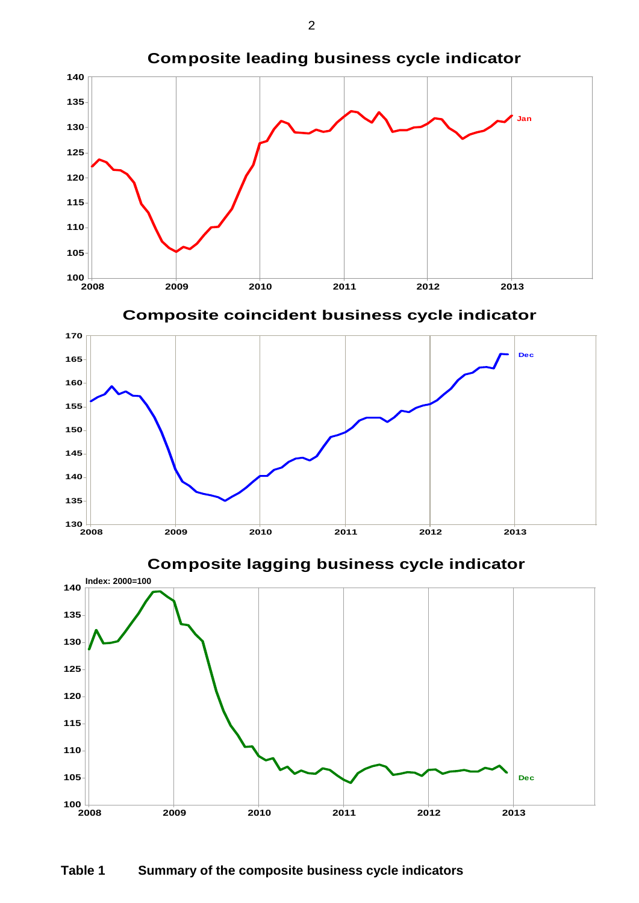

**2009 2010 2011 2012 2013**